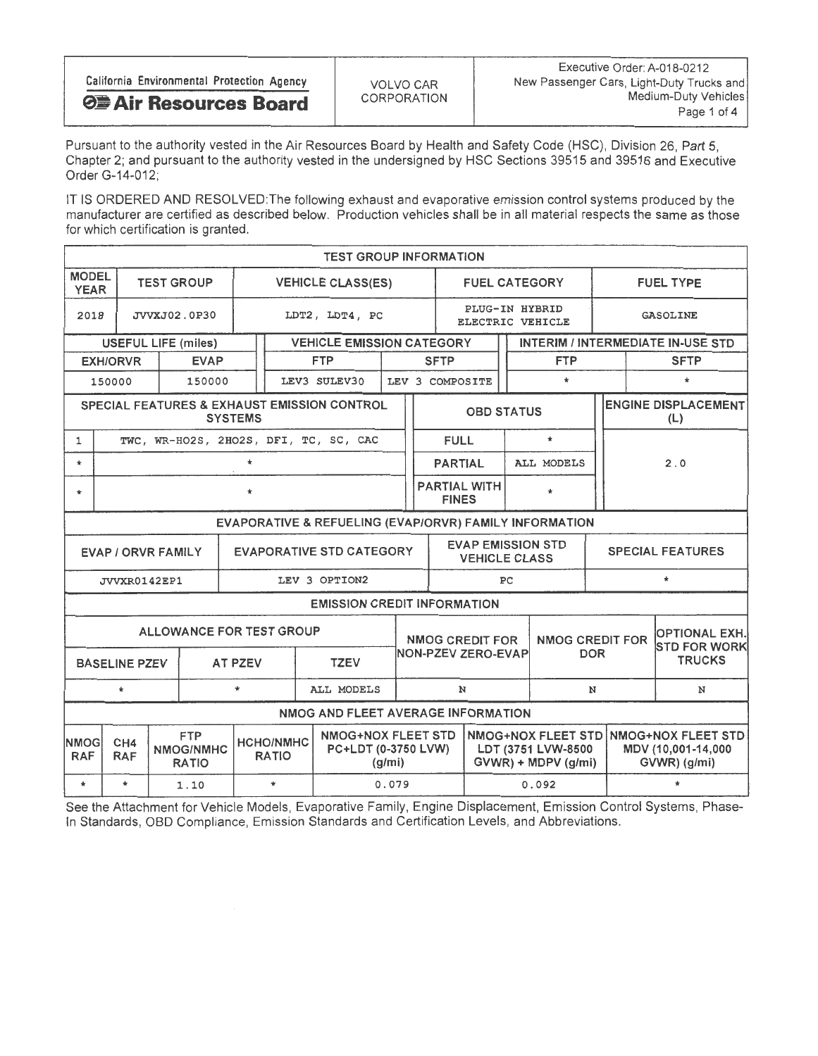|                                            |             | Executive Order: A-018-0212               |
|--------------------------------------------|-------------|-------------------------------------------|
| California Environmental Protection Agency | VOLVO CAR   | New Passenger Cars, Light-Duty Trucks and |
| <b>Θ Air Resources Board</b>               | CORPORATION | Medium-Duty Vehicles                      |
|                                            |             | Page 1 of 4                               |

Pursuant to the authority vested in the Air Resources Board by Health and Safety Code (HSC), Division 26, Part 5, Chapter 2; and pursuant to the authority vested in the undersigned by HSC Sections 39515 and 39516 and Executive Order G-14-012;

IT IS ORDERED AND RESOLVED: The following exhaust and evaporative emission control systems produced by the manufacturer are certified as described below. Production vehicles shall be in all material respects the same as those for which certification is granted.

| <b>TEST GROUP INFORMATION</b>                                |                                                        |  |                                         |                                  |                                                  |        |                                    |                                                  |                      |                                              |                                      |         |                                                                             |                                          |  |
|--------------------------------------------------------------|--------------------------------------------------------|--|-----------------------------------------|----------------------------------|--------------------------------------------------|--------|------------------------------------|--------------------------------------------------|----------------------|----------------------------------------------|--------------------------------------|---------|-----------------------------------------------------------------------------|------------------------------------------|--|
| <b>MODEL</b><br><b>YEAR</b>                                  |                                                        |  | <b>TEST GROUP</b>                       |                                  | <b>VEHICLE CLASS(ES)</b>                         |        |                                    |                                                  | <b>FUEL CATEGORY</b> |                                              |                                      |         | <b>FUEL TYPE</b>                                                            |                                          |  |
| 2018                                                         |                                                        |  | JVVXJ02.0P30                            |                                  | LDT2, LDT4, PC                                   |        | PLUG-IN HYBRID<br>ELECTRIC VEHICLE |                                                  |                      |                                              |                                      |         | <b>GASOLINE</b>                                                             |                                          |  |
|                                                              | <b>USEFUL LIFE (miles)</b>                             |  |                                         |                                  | <b>VEHICLE EMISSION CATEGORY</b>                 |        |                                    |                                                  |                      |                                              |                                      |         |                                                                             | <b>INTERIM / INTERMEDIATE IN-USE STD</b> |  |
|                                                              | <b>EXH/ORVR</b>                                        |  | <b>EVAP</b>                             |                                  | <b>FTP</b>                                       |        |                                    | <b>SFTP</b>                                      |                      |                                              | <b>FTP</b>                           |         |                                                                             | <b>SFTP</b>                              |  |
|                                                              | 150000                                                 |  | 150000                                  |                                  | LEV3 SULEV30                                     |        |                                    | LEV 3 COMPOSITE                                  |                      |                                              | $\star$                              |         |                                                                             | $\star$                                  |  |
|                                                              |                                                        |  |                                         | <b>SYSTEMS</b>                   | SPECIAL FEATURES & EXHAUST EMISSION CONTROL      |        |                                    |                                                  | <b>OBD STATUS</b>    |                                              |                                      |         |                                                                             | <b>ENGINE DISPLACEMENT</b><br>(L)        |  |
| 1                                                            |                                                        |  |                                         |                                  | TWC, WR-HO2S, 2HO2S, DFI, TC, SC, CAC            |        |                                    | <b>FULL</b>                                      |                      |                                              | $\star$                              |         |                                                                             |                                          |  |
| $\star$                                                      |                                                        |  |                                         | $\star$                          |                                                  |        |                                    | <b>PARTIAL</b>                                   |                      | ALL MODELS                                   |                                      |         | 2.0                                                                         |                                          |  |
| $\star$                                                      | $\star$                                                |  |                                         |                                  |                                                  |        |                                    | <b>PARTIAL WITH</b><br><b>FINES</b>              |                      |                                              |                                      |         |                                                                             |                                          |  |
|                                                              | EVAPORATIVE & REFUELING (EVAP/ORVR) FAMILY INFORMATION |  |                                         |                                  |                                                  |        |                                    |                                                  |                      |                                              |                                      |         |                                                                             |                                          |  |
| <b>EVAPORATIVE STD CATEGORY</b><br><b>EVAP / ORVR FAMILY</b> |                                                        |  |                                         |                                  |                                                  |        |                                    | <b>EVAP EMISSION STD</b><br><b>VEHICLE CLASS</b> |                      |                                              | <b>SPECIAL FEATURES</b>              |         |                                                                             |                                          |  |
|                                                              | JVVXR0142EP1                                           |  |                                         |                                  | LEV 3 OPTION2                                    |        |                                    | $\star$<br>PC                                    |                      |                                              |                                      |         |                                                                             |                                          |  |
|                                                              |                                                        |  |                                         |                                  | <b>EMISSION CREDIT INFORMATION</b>               |        |                                    |                                                  |                      |                                              |                                      |         |                                                                             |                                          |  |
|                                                              |                                                        |  |                                         | ALLOWANCE FOR TEST GROUP         |                                                  |        |                                    | <b>NMOG CREDIT FOR</b><br>NON-PZEV ZERO-EVAP     |                      |                                              | <b>NMOG CREDIT FOR</b><br><b>DOR</b> |         |                                                                             | <b>OPTIONAL EXH.</b><br>STD FOR WORK     |  |
|                                                              | <b>BASELINE PZEV</b>                                   |  |                                         | AT PZEV                          | <b>TZEV</b>                                      |        |                                    |                                                  |                      |                                              |                                      |         |                                                                             | <b>TRUCKS</b>                            |  |
|                                                              | $\star$                                                |  |                                         | $\star$                          | ALL MODELS                                       |        |                                    | N                                                |                      |                                              |                                      | N       |                                                                             | N                                        |  |
|                                                              |                                                        |  |                                         |                                  | NMOG AND FLEET AVERAGE INFORMATION               |        |                                    |                                                  |                      |                                              |                                      |         |                                                                             |                                          |  |
| NMOGI<br><b>RAF</b>                                          | CH <sub>4</sub><br><b>RAF</b>                          |  | <b>FTP</b><br>NMOG/NMHC<br><b>RATIO</b> | <b>HCHO/NMHC</b><br><b>RATIO</b> | <b>NMOG+NOX FLEET STD</b><br>PC+LDT (0-3750 LVW) | (q/mi) |                                    |                                                  |                      | LDT (3751 LVW-8500<br>$GVWR$ ) + MDPV (g/mi) |                                      |         | NMOG+NOX FLEET STD NMOG+NOX FLEET STD<br>MDV (10,001-14,000<br>GVWR) (g/mi) |                                          |  |
| $\star$                                                      | $\star$                                                |  | 1.10                                    | $\star$                          |                                                  | 0.079  |                                    | 0.092                                            |                      |                                              |                                      | $\star$ |                                                                             |                                          |  |

See the Attachment for Vehicle Models, Evaporative Family, Engine Displacement, Emission Control Systems, Phase-In Standards, OBD Compliance, Emission Standards and Certification Levels, and Abbreviations.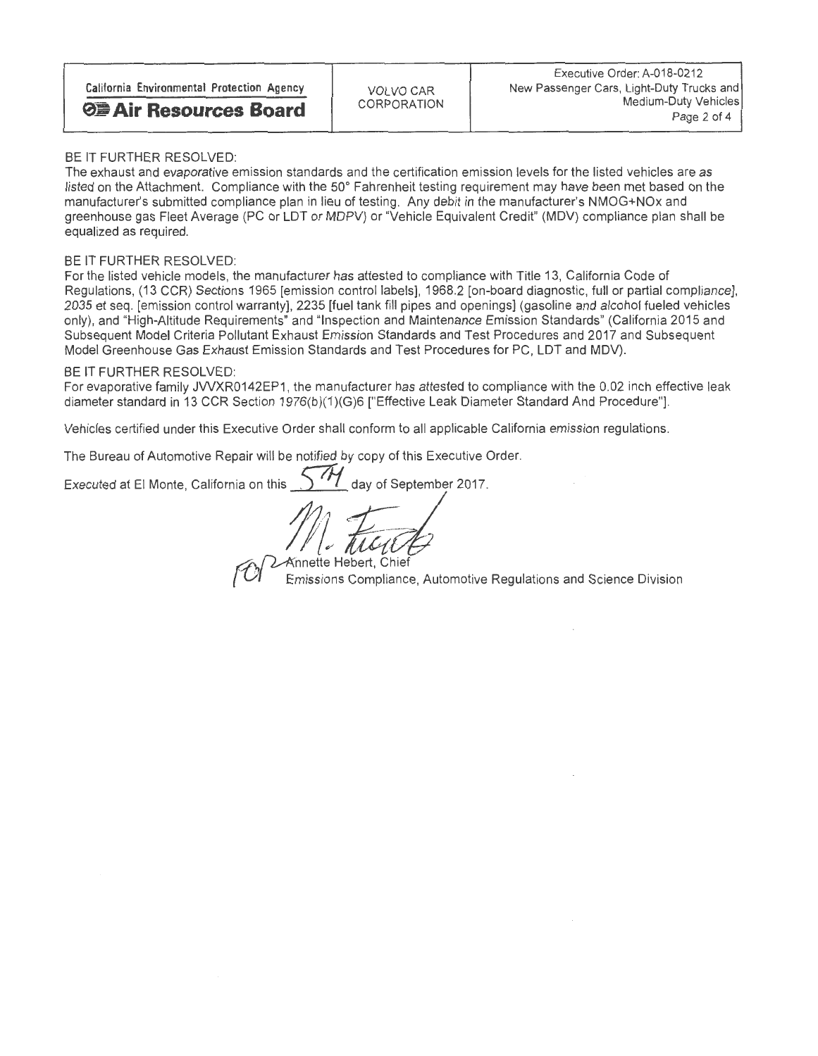| California Environmental Protection Agency | VOLVO CAR   | Executive Order: A-018-0212<br>New Passenger Cars, Light-Duty Trucks and |  |  |  |  |
|--------------------------------------------|-------------|--------------------------------------------------------------------------|--|--|--|--|
| <b>⊘■ Air Resources Board</b>              | CORPORATION | Medium-Duty Vehicles<br>Page 2 of 4                                      |  |  |  |  |

#### BE IT FURTHER RESOLVED:

The exhaust and evaporative emission standards and the certification emission levels for the listed vehicles are as listed on the Attachment. Compliance with the 50° Fahrenheit testing requirement may have been met based on the manufacturer's submitted compliance plan in lieu of testing. Any debit in the manufacturer's NMOG+NOx and greenhouse gas Fleet Average (PC or LDT or MDPV) or "Vehicle Equivalent Credit" (MDV) compliance plan shall be equalized as required.

BE IT FURTHER RESOLVED:<br>For the listed vehicle models, the manufacturer has attested to compliance with Title 13, California Code of For the listed vehicle models, the manufacturer has attested to compliance with Title 13, California Code of Regulations, (13 CCR) Sections 1965 [emission control labels], 1968.2 [on-board diagnostic, full or partial compliance], 2035 et seq. [emission control warranty], 2235 [fuel tank fill pipes and openings] (gasoline and alcohol fueled vehicles<br>only), and "High-Altitude Requirements" and "Inspection and Maintenance Emission Standards" (Californ only), and "High-Altitude Requirements" and "Inspection and Maintenance Emission Standards" (California 2015 and Subsequent Model Criteria Pollutant Exhaust Emission Standards and Test Procedures and 2017 and Subsequent Model Greenhouse Gas Exhaust Emission Standards and Test Procedures for PC, LDT and MDV).

## BE IT FURTHER RESOLVED

For evaporative family JVVXR0142EP1, the manufacturer has attested to compliance with the 0.02 inch effective leak diameter standard in 13 CCR Section 1976(b)(1)(G)6 ["Effective Leak Diameter Standard And Procedure"].

Vehicles certified under this Executive Order shall conform to all applicable California emission regulations.

The Bureau of Automotive Repair will be notified by copy of this Executive Order.

Executed at El Monte, California on this  $5$   $\frac{1}{1}$  day of September 2017.

Annette Hebert, Chief

Emissions Compliance, Automotive Regulations and Science Division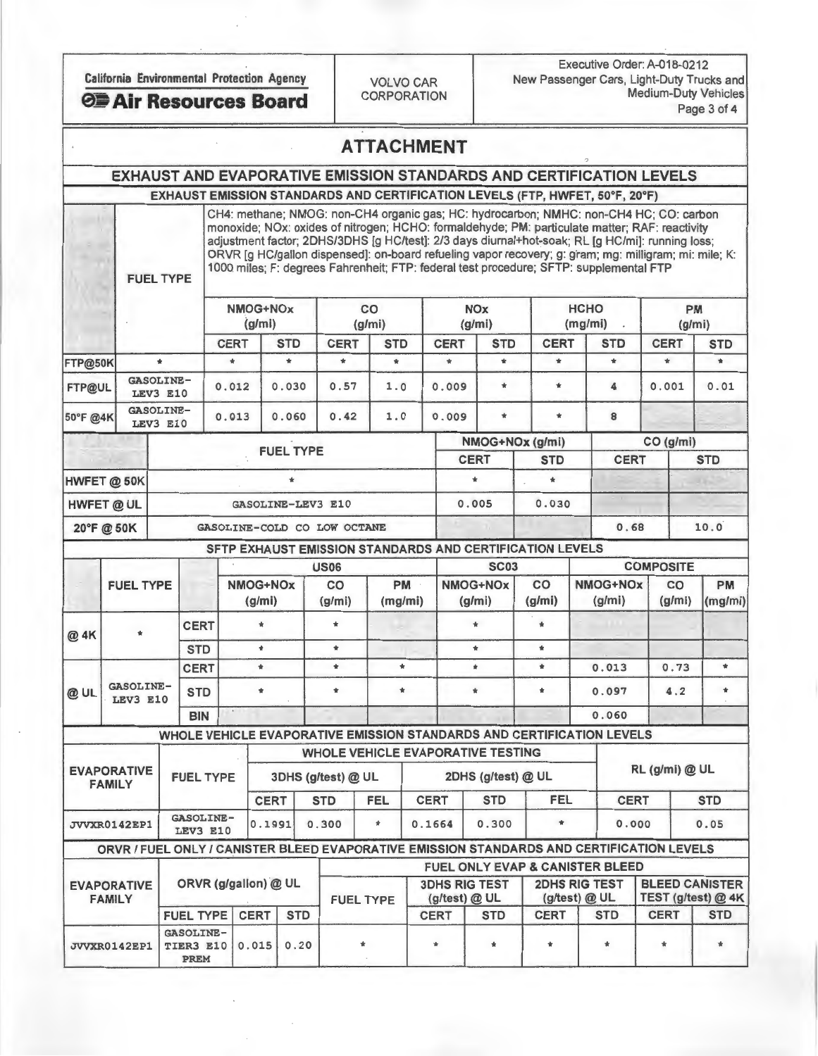Executive Order: A-018-0212 California Environmental Protection Agency<br>CORPORATION Medium-Duty Vehicles **CORPORATION Medium-Duty Vehicles CORPORATION** Medium-Duty Vehicles

## ATTACHMENT

# EXHAUST AND EVAPORATIVE EMISSION STANDARDS AND CERTIFICATION LEVELS

EXHAUST EMISSION STANDARDS AND CERTIFICATION LEVELS (FTP, HWFET, 50°F, 20°F)<br>CH4: methane; NMOG: non-CH4 organic gas; HC: hydrocarbon; NMHC: non-CH4 HC; CO: carbon CH4: methane; NMOG: non-CH4 organic gas; HC: hydrocarbon; NMHC: non-CH4 HC; CO: carbon monoxide; NOx: oxides of nitrogen; HCHO: formaldehyde; PM: particulate matter; RAF: reactivity adjustment factor; 2DHS/3DHS [g HC/test]: 2/3 days diurnal+hot-soak; RL [g HC/mi]: running loss; ORVR [g HC/gallon dispensed]: on-board refueling vapor recovery; g: gram; mg: milligram; mi: mile; K: 1000 miles; F: degrees Fahrenheit; FTP: federal test procedure; SFTP: supplemental FTP

|               |                              |                             | NMOG+NOx<br>(g/m) | <b>CO</b><br>(g/mi) |            | <b>NOx</b><br>(g/mi) |                 | <b>HCHO</b><br>(mg/mi) |             |             | <b>PM</b><br>(g/mi)  |  |
|---------------|------------------------------|-----------------------------|-------------------|---------------------|------------|----------------------|-----------------|------------------------|-------------|-------------|----------------------|--|
|               |                              | <b>CERT</b>                 | <b>STD</b>        | <b>CERT</b>         | <b>STD</b> | <b>CERT</b>          | <b>STD</b>      | <b>CERT</b>            | <b>STD</b>  | <b>CERT</b> | <b>STD</b>           |  |
| FTP@50K       | $\bf \star$                  | $\pm$                       | $\bf{t}$          | $\bf{t}$            | $\star$    | $\ast$               | $\bf{r}$        | $\star$                | $\star$     | $\ast$      | $\pmb{\ast}$<br>0.01 |  |
| <b>FTP@UL</b> | <b>GASOLINE-</b><br>LEV3 E10 | 0.012                       | 0.030             | 0.57                | 1.0        | 0.009                | $\star$         | $\ast$                 | 4           | 0.001       |                      |  |
| 50°F @4K      | GASOLINE-<br>LEV3 E10        | 0.013                       | 0.060             | 0.42                | 1.0        | 0.009                | $\star$         | $\star$                | 8           |             |                      |  |
|               |                              |                             |                   |                     |            |                      | NMOG+NOx (g/mi) |                        |             | CO (g/mi)   |                      |  |
|               |                              |                             | <b>FUEL TYPE</b>  |                     |            | <b>CERT</b>          |                 | <b>STD</b>             | <b>CERT</b> |             | <b>STD</b>           |  |
| HWFET @ 50K   |                              |                             |                   |                     |            |                      | $\star$         |                        | ÷           |             |                      |  |
| HWFET @ UL    |                              |                             | GASOLINE-LEV3 E10 |                     |            |                      | 0.005           |                        | 0.030       |             |                      |  |
| 20°F @ 50K    |                              | GASOLINE-COLD CO LOW OCTANE |                   |                     |            |                      |                 |                        | 0.68        |             | 10.0                 |  |

#### SETP EXHAUST EMISSION STANDARDS AND CERTIFICATION LEVELS

|                                                     |                                     |  |                                       |             |                                                     | <b>US06</b>      |                                                                       |                                       |                    | <b>SC03</b>                                |                                       |              |                |                                                                                                                                                                                       |            |  |
|-----------------------------------------------------|-------------------------------------|--|---------------------------------------|-------------|-----------------------------------------------------|------------------|-----------------------------------------------------------------------|---------------------------------------|--------------------|--------------------------------------------|---------------------------------------|--------------|----------------|---------------------------------------------------------------------------------------------------------------------------------------------------------------------------------------|------------|--|
|                                                     | <b>FUEL TYPE</b>                    |  |                                       |             | PM<br>CO<br>NMOG+NOx<br>(mg/mi)<br>(g/mi)<br>(g/mi) |                  |                                                                       |                                       | NMOG+NOx<br>(g/mi) | CO<br>(g/mi)                               | NMOG+NOx<br>(g/mi)                    |              | CO             | <b>PM</b><br>(mg/mi)                                                                                                                                                                  |            |  |
| @ 4K                                                | $\mathbf{r}$                        |  | <b>CERT</b>                           |             |                                                     |                  | ÷                                                                     |                                       |                    | $\bullet$                                  | $\bullet$                             |              |                |                                                                                                                                                                                       |            |  |
|                                                     |                                     |  | <b>STD</b>                            | $\bullet$   |                                                     |                  | $\bullet$                                                             |                                       |                    | $\star$                                    | $\ddot{\phantom{a}}$                  |              |                | <b>COMPOSITE</b><br>(g/mi)<br>0.73<br>4.2<br>ORVR / FUEL ONLY / CANISTER BLEED EVAPORATIVE EMISSION STANDARDS AND CERTIFICATION LEVELS<br><b>BLEED CANISTER</b><br>TEST (g/test) @ 4K |            |  |
|                                                     | <b>GASOLINE-</b><br>LEV3 E10        |  | <b>CERT</b>                           | ٠           |                                                     |                  | $\star$                                                               | $\star$                               | $\ast$             |                                            | $\pmb{\ast}$                          | 0.013        |                |                                                                                                                                                                                       | $\star$    |  |
| @UL                                                 |                                     |  | <b>STD</b>                            | ٠           |                                                     |                  | $\bullet$                                                             | $\ast$                                |                    | $\pm$                                      | $\ast$                                |              | 0.097          |                                                                                                                                                                                       |            |  |
|                                                     |                                     |  | <b>BIN</b>                            |             |                                                     |                  |                                                                       |                                       |                    |                                            |                                       | 0.060        |                |                                                                                                                                                                                       |            |  |
|                                                     |                                     |  |                                       |             |                                                     |                  | WHOLE VEHICLE EVAPORATIVE EMISSION STANDARDS AND CERTIFICATION LEVELS |                                       |                    |                                            |                                       |              |                |                                                                                                                                                                                       |            |  |
|                                                     |                                     |  |                                       |             |                                                     |                  | WHOLE VEHICLE EVAPORATIVE TESTING                                     |                                       |                    |                                            |                                       |              |                |                                                                                                                                                                                       |            |  |
|                                                     | <b>EVAPORATIVE</b><br><b>FAMILY</b> |  | <b>FUEL TYPE</b>                      |             | 3DHS (g/test) @ UL                                  |                  |                                                                       |                                       |                    | 2DHS (g/test) @ UL                         |                                       |              | RL (g/mi) @ UL |                                                                                                                                                                                       |            |  |
|                                                     |                                     |  |                                       |             | <b>CERT</b><br><b>STD</b>                           |                  | <b>FEL</b>                                                            | <b>CERT</b>                           |                    | <b>STD</b>                                 | FEL                                   |              | <b>CERT</b>    |                                                                                                                                                                                       | <b>STD</b> |  |
|                                                     |                                     |  | <b>GASOLINE-</b><br><b>LEV3 E10</b>   | 0.1991      |                                                     | 0.300            | $\pmb{\ast}$                                                          |                                       | 0.300<br>0.1664    |                                            | $\bullet$                             | 0.000        |                | 0.05                                                                                                                                                                                  |            |  |
|                                                     |                                     |  |                                       |             |                                                     |                  |                                                                       |                                       |                    |                                            |                                       |              |                |                                                                                                                                                                                       |            |  |
|                                                     |                                     |  |                                       |             |                                                     |                  |                                                                       |                                       |                    | <b>FUEL ONLY EVAP &amp; CANISTER BLEED</b> |                                       |              |                |                                                                                                                                                                                       |            |  |
| JVVXR0142EP1<br><b>EVAPORATIVE</b><br><b>FAMILY</b> |                                     |  | ORVR (g/gallon) @ UL                  |             |                                                     | <b>FUEL TYPE</b> |                                                                       | <b>3DHS RIG TEST</b><br>(g/test) @ UL |                    |                                            | <b>2DHS RIG TEST</b><br>(g/test) @ UL |              |                |                                                                                                                                                                                       |            |  |
|                                                     |                                     |  | <b>FUEL TYPE</b>                      | <b>CERT</b> | <b>STD</b>                                          |                  |                                                                       |                                       | <b>CERT</b>        | <b>STD</b>                                 | <b>CERT</b>                           | <b>STD</b>   |                | <b>CERT</b>                                                                                                                                                                           | <b>STD</b> |  |
|                                                     | JVVXR0142EP1                        |  | <b>GASOLINE-</b><br>TIER3 E10<br>PREM | 0.015       | 0.20                                                |                  |                                                                       |                                       |                    |                                            |                                       | $\mathbf{r}$ |                | $\bf{t}$                                                                                                                                                                              |            |  |